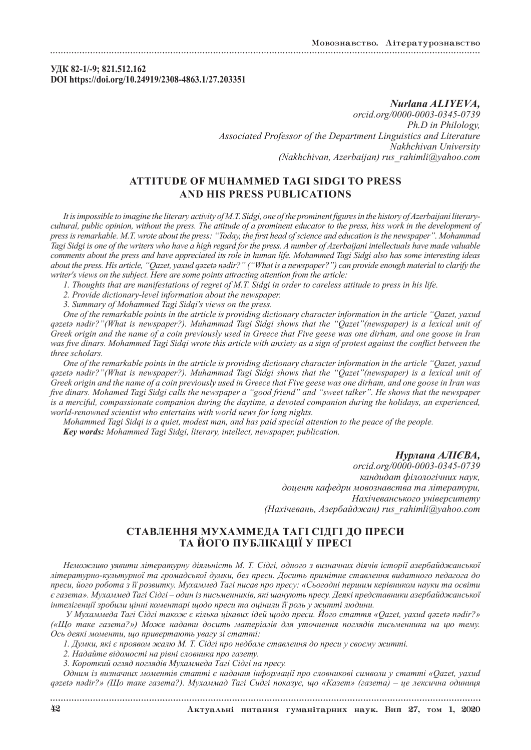### **УДК 82-1/-9; 821.512.162 DOI https://doi.org/10.24919/2308-4863.1/27.203351**

*Nurlana ALIYEVA, orcid.org/0000-0003-0345-0739 Ph.D in Philology, Associated Professor of the Department Linguistics and Literature Nakhchivan University (Nakhchivan, Azerbaijan) rus\_rahimli@yahoo.com*

# **ATTITUDE OF MUHAMMЕD TAGI SIDGI TO PRESS AND HIS PRESS PUBLICATIONS**

*It is impossible to imagine the literary activity of M.T. Sidgi, one of the prominent figures in the history of Azerbaijani literarycultural, public opinion, without the press. The attitude of a prominent educator to the press, hiss work in the development of press is remarkable. M.T. wrote about the press: "Today, the first head of science and education is the newspaper". Mohammad Tagi Sidgi is one of the writers who have a high regard for the press. A number of Azerbaijani intellectuals have made valuable comments about the press and have appreciated its role in human life. Mohammed Tagi Sidgi also has some interesting ideas about the press. His article, "Qazet, yaxud qəzetə nədir?" ("What is a newspaper?") can provide enough material to clarify the writer's views on the subject. Here are some points attracting attention from the article:*

*1. Thoughts that are manifestations of regret of M.T. Sidgi in order to careless attitude to press in his life.*

- *2. Provide dictionary-level information about the newspaper.*
- *3. Summary of Mohammed Tagi Sidqi's views on the press.*

*One of the remarkable points in the atrticle is providing dictionary character information in the article "Qazet, yaxud qəzetə nədir?"(What is newspaper?). Muhammad Tagi Sidgi shows that the "Qazet"(newspaper) is a lexical unit of Greek origin and the name of a coin previously used in Greece that Five geese was one dirham, and one goose in Iran*  was five dinars. Mohammed Tagi Sidqi wrote this article with anxiety as a sign of protest against the conflict between the *three scholars.*

*One of the remarkable points in the atrticle is providing dictionary character information in the article "Qazet, yaxud qəzetə nədir?"(What is newspaper?). Muhammad Tagi Sidgi shows that the "Qazet"(newspaper) is a lexical unit of Greek origin and the name of a coin previously used in Greece that Five geese was one dirham, and one goose in Iran was five dinars. Mohamed Tagi Sidgi calls the newspaper a "good friend" and "sweet talker". He shows that the newspaper is a merciful, compassionate companion during the daytime, a devoted companion during the holidays, an experienced, world-renowned scientist who entertains with world news for long nights.*

*Mohammed Tagi Sidqi is a quiet, modest man, and has paid special attention to the peace of the people. Key words: Mohammed Tagi Sidgi, literary, intellect, newspaper, publication.*

### *Нурлана АЛІЄВА,*

*orcid.org/0000-0003-0345-0739 кандидат філологічних наук, доцент кафедри мовознавства та літератури, Нахічеванського університету (Нахічевань, Азербайджан) rus\_rahimli@yahoo.com*

## **СТАВЛЕННЯ МУХАММЕДА ТАГІ СІДГІ ДО ПРЕСИ ТА ЙОГО ПУБЛІКАЦІЇ У ПРЕСІ**

*Неможливо уявити літературну діяльність М. Т. Сідгі, одного з визначних діячів історії азербайджанської літературно-культурної та громадської думки, без преси. Досить примітне ставлення видатного педагога до преси, його робота з її розвитку. Мухаммед Тагі писав про пресу: «Сьогодні першим керівником науки та освіти є газета». Мухаммед Тагі Сідгі – один із письменників, які шанують пресу. Деякі представники азербайджанської інтелігенції зробили цінні коментарі щодо преси та оцінили її роль у житті людини.*

 *У Мухаммеда Тагі Сідгі також є кілька цікавих ідей щодо преси. Його стаття «Qazet, yaxud qəzetə nədir?» («Що таке газета?») Може надати досить матеріалів для уточнення поглядів письменника на цю тему. Ось деякі моменти, що привертають увагу зі статті:*

*1. Думки, які є проявом жалю М. Т. Сідгі про недбале ставлення до преси у своєму житті.*

*2. Надайте відомості на рівні словника про газету.*

*3. Короткий огляд поглядів Мухаммеда Тагі Сідгі на пресу.*

*Одним із визначних моментів статті є надання інформації про словникові символи у статті «Qazet, yaxud qəzetə nədir?» (Що таке газета?). Мухаммад Тагі Сидгі показує, що «Казет» (газета) – це лексична одиниця*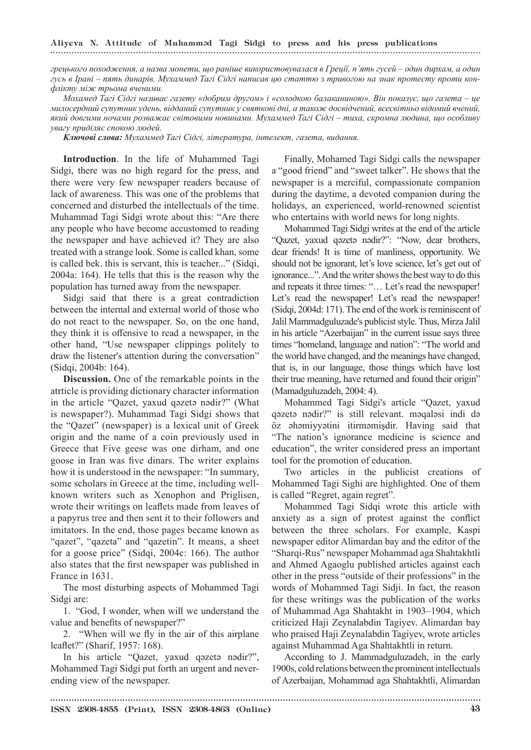# Aliyeva N. Attitude of Muhamməd Tagi Sidgi to press and his press publications

*грецького походження, а назва монети, що раніше використовувалася в Греції, п'ять гусей – один дирхам, а один гусь в Ірані – пять динарів. Мухаммед Тагі Сідгі написав цю статтю з тривогою на знак протесту проти конфлікту між трьома вченими.*

*Мохамед Тагі Сідгі називає газету «добрим другом» і «солодкою балаканиною». Він показує, що газета – це милосердний супутник удень, відданий супутник у святкові дні, а також досвідчений, всесвітньо відомий вчений, який довгими ночами розважає світовими новинами. Мухаммед Тагі Сідгі – тиха, скромна людина, що особливу увагу приділяє спокою людей.*

*Ключові слова: Мухаммед Тагі Сідгі, література, інтелект, газета, видання.*

**Introduction**. In the life of Muhammed Tagi Sidgi, there was no high regard for the press, and there were very few newspaper readers because of lack of awareness. This was one of the problems that concerned and disturbed the intellectuals of the time. Muhammad Tagi Sidgi wrote about this: "Are there any people who have become accustomed to reading the newspaper and have achieved it? They are also treated with a strange look. Some is called khan, some is called bek. this is servant, this is teacher..." (Sidqi, 2004a: 164). He tells that this is the reason why the population has turned away from the newspaper.

Sidgi said that there is a great contradiction between the internal and external world of those who do not react to the newspaper. So, on the one hand, they think it is offensive to read a newspaper, in the other hand, "Use newspaper clippings politely to draw the listener's attention during the conversation" (Sidqi, 2004b: 164).

**Discussion.** One of the remarkable points in the atrticle is providing dictionary character information in the article "Qazet, yaxud qəzetə nədir?" (What is newspaper?). Muhammad Tagi Sidgi shows that the "Qazet" (newspaper) is a lexical unit of Greek origin and the name of a coin previously used in Greece that Five geese was one dirham, and one goose in Iran was five dinars. The writer explains how it is understood in the newspaper: "In summary, some scholars in Greece at the time, including wellknown writers such as Xenophon and Priglisen, wrote their writings on leaflets made from leaves of a papyrus tree and then sent it to their followers and imitators. In the end, those pages became known as "qazet", "qazeta" and "qazetin". It means, a sheet for a goose price" (Sidqi, 2004c: 166). The author also states that the first newspaper was published in France in 1631.

The most disturbing aspects of Mohammed Tagi Sidgi are:

1. "God, I wonder, when will we understand the value and benefits of newspaper?"

2. "When will we fly in the air of this airplane leaflet?" (Sharif, 1957: 168).

In his article "Qazet, yaxud qəzetə nədir?", Mohammed Tagi Sidgi put forth an urgent and neverending view of the newspaper.

Finally, Mohamed Tagi Sidgi calls the newspaper a "good friend" and "sweet talker". He shows that the newspaper is a merciful, compassionate companion during the daytime, a devoted companion during the holidays, an experienced, world-renowned scientist who entertains with world news for long nights.

Mohammed Tagi Sidgi writes at the end of the article "Qazet, yaxud qəzetə nədir?": "Now, dear brothers, dear friends! It is time of manliness, opportunity. We should not be ignorant, let's love science, let's get out of ignorance...". And the writer shows the best way to do this and repeats it three times: "… Let's read the newspaper! Let's read the newspaper! Let's read the newspaper! (Sidqi, 2004d: 171). The end of the work is reminiscent of Jalil Mammadguluzade's publicist style. Thus, Mirza Jalil in his article "Azerbaijan" in the current issue says three times "homeland, language and nation": "The world and the world have changed, and the meanings have changed, that is, in our language, those things which have lost their true meaning, have returned and found their origin" (Mamadguluzadeh, 2004: 4).

Mohammed Tagi Sidgi's article "Qazet, yaxud qəzetə nədir?" is still relevant. məqaləsi indi də öz əhəmiyyətini itirməmişdir. Having said that "The nation's ignorance medicine is science and education", the writer considered press an important tool for the promotion of education.

Two articles in the publicist creations of Mohammed Tagi Sighi are highlighted. One of them is called "Regret, again regret".

Mohammed Tagi Sidqi wrote this article with anxiety as a sign of protest against the conflict between the three scholars. For example, Kaspi newspaper editor Alimardan bay and the editor of the "Sharqi-Rus" newspaper Mohammad aga Shahtakhtli and Ahmed Agaoglu published articles against each other in the press "outside of their professions" in the words of Mohammed Tagi Sidji. In fact, the reason for these writings was the publication of the works of Muhammad Aga Shahtakht in 1903–1904, which criticized Haji Zeynalabdin Tagiyev. Alimardan bay who praised Haji Zeynalabdin Tagiyev, wrote articles against Muhammad Aga Shahtakhtli in return.

According to J. Mammadguluzadeh, in the early 1900s, cold relations between the prominent intellectuals of Azerbaijan, Mohammad aga Shahtakhtli, Alimardan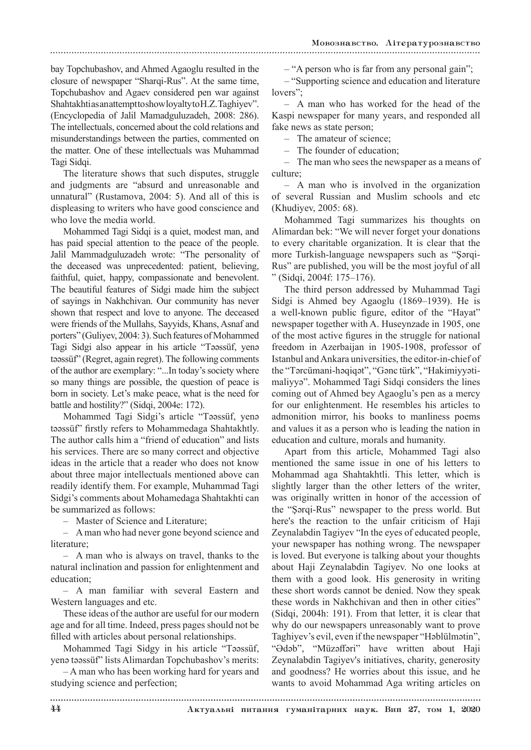## bay Topchubashov, and Ahmed Agaoglu resulted in the closure of newspaper "Sharqi-Rus". At the same time, Topchubashov and Agaev considered pen war against Shahtakhti as an attempt to show loyalty to H.Z. Taghiyev". (Encyclopedia of Jalil Mamadguluzadeh, 2008: 286). The intellectuals, concerned about the cold relations and misunderstandings between the parties, commented on the matter. One of these intellectuals was Muhammad Tagi Sidqi.

The literature shows that such disputes, struggle and judgments are "absurd and unreasonable and unnatural" (Rustamova, 2004: 5). And all of this is displeasing to writers who have good conscience and who love the media world.

Mohammed Tagi Sidqi is a quiet, modest man, and has paid special attention to the peace of the people. Jalil Mammadguluzadeh wrote: "The personality of the deceased was unprecedented: patient, believing, faithful, quiet, happy, compassionate and benevolent. The beautiful features of Sidgi made him the subject of sayings in Nakhchivan. Our community has never shown that respect and love to anyone. The deceased were friends of the Mullahs, Sayyids, Khans, Asnaf and porters" (Guliyev, 2004: 3). Such features of Mohammed Tagi Sidgi also appear in his article "Təəssüf, yenə təəssüf" (Regret, again regret). The following comments of the author are exemplary: "...In today's society where so many things are possible, the question of peace is born in society. Let's make peace, what is the need for battle and hostility?" (Sidqi, 2004e: 172).

Mohammed Tagi Sidgi's article "Təəssüf, yenə təəssüf" firstly refers to Mohammedaga Shahtakhtly. The author calls him a "friend of education" and lists his services. There are so many correct and objective ideas in the article that a reader who does not know about three major intellectuals mentioned above can readily identify them. For example, Muhammad Tagi Sidgi's comments about Mohamedaga Shahtakhti can be summarized as follows:

– Master of Science and Literature;

– A man who had never gone beyond science and literature;

– A man who is always on travel, thanks to the natural inclination and passion for enlightenment and education;

– A man familiar with several Eastern and Western languages and etc.

These ideas of the author are useful for our modern age and for all time. Indeed, press pages should not be filled with articles about personal relationships.

Mohammed Tagi Sidgy in his article "Təəssüf, yenə təəssüf" lists Alimardan Topchubashov's merits:

– A man who has been working hard for years and studying science and perfection;

– "A person who is far from any personal gain";

– "Supporting science and education and literature lovers";

– A man who has worked for the head of the Kaspi newspaper for many years, and responded all fake news as state person;

– The amateur of science;

The founder of education;

– The man who sees the newspaper as a means of culture;

– A man who is involved in the organization of several Russian and Muslim schools and etc (Khudiyev, 2005: 68).

Mohammed Tagi summarizes his thoughts on Alimardan bek: "We will never forget your donations to every charitable organization. It is clear that the more Turkish-language newspapers such as "Şərqi-Rus" are published, you will be the most joyful of all " (Sidqi, 2004f: 175–176).

The third person addressed by Muhammad Tagi Sidgi is Ahmed bey Agaoglu (1869–1939). He is a well-known public figure, editor of the "Hayat" newspaper together with A. Huseynzade in 1905, one of the most active figures in the struggle for national freedom in Azerbaijan in 1905-1908, professor of Istanbul and Ankara universities, the editor-in-chief of the "Tərcümani-həqiqət", "Gənc türk", "Hakimiyyətimaliyyə". Mohammed Tagi Sidqi considers the lines coming out of Ahmed bey Agaoglu's pen as a mercy for our enlightenment. He resembles his articles to admonition mirror, his books to manliness poems and values it as a person who is leading the nation in education and culture, morals and humanity.

Apart from this article, Mohammed Tagi also mentioned the same issue in one of his letters to Mohammad aga Shahtakhtli. This letter, which is slightly larger than the other letters of the writer, was originally written in honor of the accession of the "Şərqi-Rus" newspaper to the press world. But here's the reaction to the unfair criticism of Haji Zeynalabdin Tagiyev "In the eyes of educated people, your newspaper has nothing wrong. The newspaper is loved. But everyone is talking about your thoughts about Haji Zeynalabdin Tagiyev. No one looks at them with a good look. His generosity in writing these short words cannot be denied. Now they speak these words in Nakhchivan and then in other cities" (Sidqi, 2004h: 191). From that letter, it is clear that why do our newspapers unreasonably want to prove Taghiyev's evil, even if the newspaper "Həblülmətin", "Ədəb", "Müzəffəri" have written about Haji Zeynalabdin Tagiyev's initiatives, charity, generosity and goodness? He worries about this issue, and he wants to avoid Mohammad Aga writing articles on